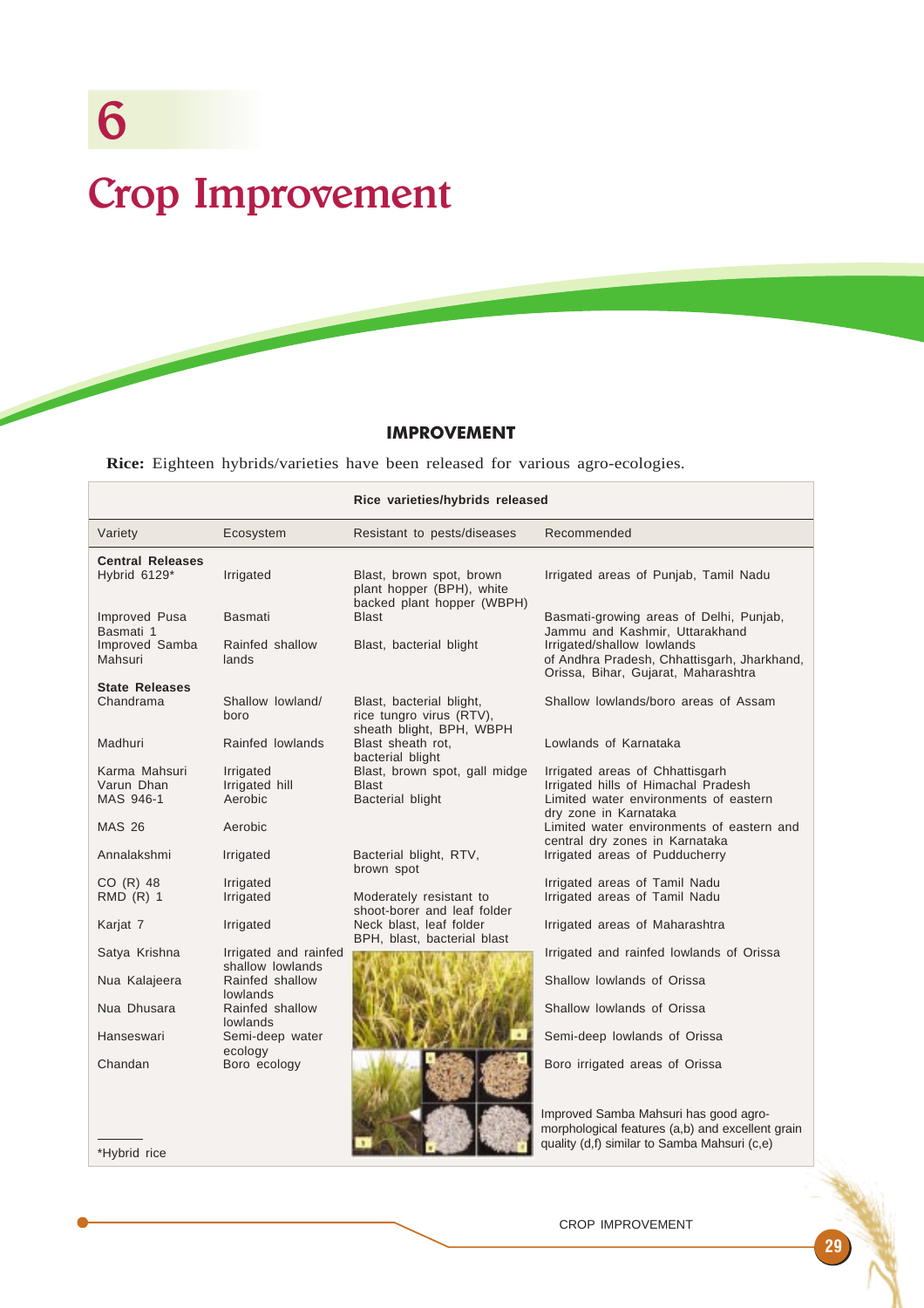# IMPROVEMENT

**Rice:** Eighteen hybrids/varieties have been released for various agro-ecologies.

|                                          |                                                 | Rice varieties/hybrids released                                                     |                                                                                                                                          |  |
|------------------------------------------|-------------------------------------------------|-------------------------------------------------------------------------------------|------------------------------------------------------------------------------------------------------------------------------------------|--|
| Variety                                  | Ecosystem                                       | Resistant to pests/diseases                                                         | Recommended                                                                                                                              |  |
| <b>Central Releases</b><br>Hybrid 6129*  | Irrigated                                       | Blast, brown spot, brown<br>plant hopper (BPH), white<br>backed plant hopper (WBPH) | Irrigated areas of Punjab, Tamil Nadu                                                                                                    |  |
| Improved Pusa<br>Basmati 1               | <b>Basmati</b>                                  | Blast                                                                               | Basmati-growing areas of Delhi, Punjab,<br>Jammu and Kashmir, Uttarakhand                                                                |  |
| Improved Samba<br>Mahsuri                | Rainfed shallow<br>lands                        | Blast, bacterial blight                                                             | Irrigated/shallow lowlands<br>of Andhra Pradesh, Chhattisgarh, Jharkhand,<br>Orissa, Bihar, Gujarat, Maharashtra                         |  |
| <b>State Releases</b><br>Chandrama       | Shallow lowland/<br>boro                        | Blast, bacterial blight,<br>rice tungro virus (RTV),<br>sheath blight, BPH, WBPH    | Shallow lowlands/boro areas of Assam                                                                                                     |  |
| Madhuri                                  | Rainfed lowlands                                | Blast sheath rot,<br>bacterial blight                                               | Lowlands of Karnataka                                                                                                                    |  |
| Karma Mahsuri<br>Varun Dhan<br>MAS 946-1 | Irrigated<br>Irrigated hill<br>Aerobic          | Blast, brown spot, gall midge<br>Blast<br>Bacterial blight                          | Irrigated areas of Chhattisgarh<br>Irrigated hills of Himachal Pradesh<br>Limited water environments of eastern<br>dry zone in Karnataka |  |
| <b>MAS 26</b>                            | Aerobic                                         |                                                                                     | Limited water environments of eastern and<br>central dry zones in Karnataka                                                              |  |
| Annalakshmi                              | Irrigated                                       | Bacterial blight, RTV,<br>brown spot                                                | Irrigated areas of Pudducherry                                                                                                           |  |
| CO (R) 48                                | Irrigated                                       |                                                                                     | Irrigated areas of Tamil Nadu                                                                                                            |  |
| RMD (R) 1                                | Irrigated                                       | Moderately resistant to<br>shoot-borer and leaf folder                              | Irrigated areas of Tamil Nadu                                                                                                            |  |
| Karjat 7                                 | Irrigated                                       | Neck blast, leaf folder<br>BPH, blast, bacterial blast                              | Irrigated areas of Maharashtra                                                                                                           |  |
| Satya Krishna                            | Irrigated and rainfed                           |                                                                                     | Irrigated and rainfed lowlands of Orissa                                                                                                 |  |
| Nua Kalajeera                            | shallow lowlands<br>Rainfed shallow<br>lowlands |                                                                                     | Shallow lowlands of Orissa                                                                                                               |  |
| Nua Dhusara                              | Rainfed shallow<br><b>lowlands</b>              |                                                                                     | Shallow lowlands of Orissa                                                                                                               |  |
| Hanseswari                               | Semi-deep water<br>ecology                      |                                                                                     | Semi-deep lowlands of Orissa                                                                                                             |  |
| Chandan                                  | Boro ecology                                    |                                                                                     | Boro irrigated areas of Orissa                                                                                                           |  |
|                                          |                                                 |                                                                                     | Improved Samba Mahsuri has good agro-<br>morphological features (a,b) and excellent grain                                                |  |

\*Hybrid rice

CROP IMPROVEMENT

quality (d,f) similar to Samba Mahsuri (c,e)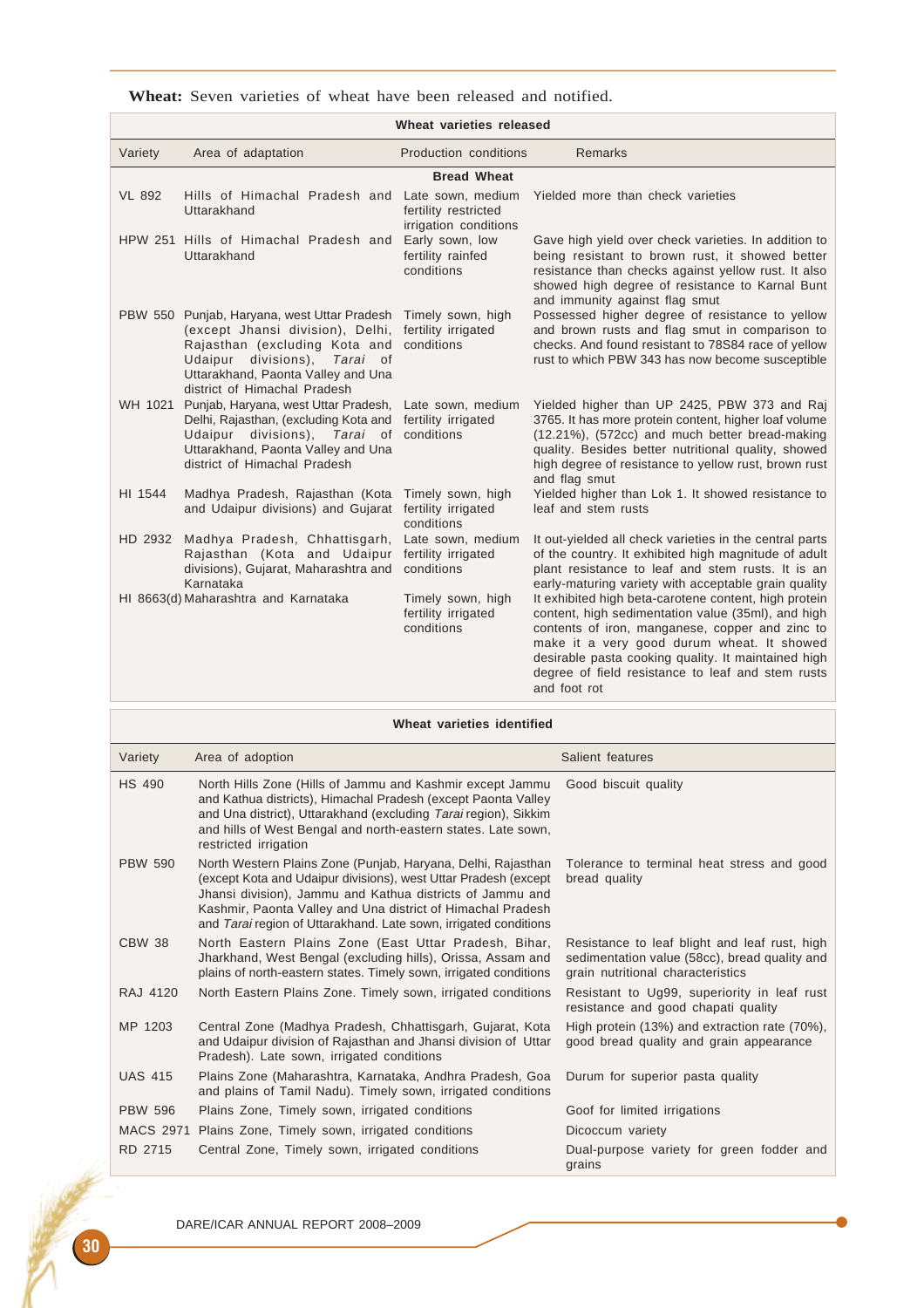|  |  |  |  |  |  |  |  |  | <b>Wheat:</b> Seven varieties of wheat have been released and notified. |
|--|--|--|--|--|--|--|--|--|-------------------------------------------------------------------------|
|--|--|--|--|--|--|--|--|--|-------------------------------------------------------------------------|

| Wheat varieties released |                                                                                                                                                                                                                        |                                                                    |                                                                                                                                                                                                                                                                                                                                          |  |
|--------------------------|------------------------------------------------------------------------------------------------------------------------------------------------------------------------------------------------------------------------|--------------------------------------------------------------------|------------------------------------------------------------------------------------------------------------------------------------------------------------------------------------------------------------------------------------------------------------------------------------------------------------------------------------------|--|
| Variety                  | Area of adaptation                                                                                                                                                                                                     | Production conditions                                              | <b>Remarks</b>                                                                                                                                                                                                                                                                                                                           |  |
|                          |                                                                                                                                                                                                                        | <b>Bread Wheat</b>                                                 |                                                                                                                                                                                                                                                                                                                                          |  |
| <b>VL 892</b>            | Hills of Himachal Pradesh and<br>Uttarakhand                                                                                                                                                                           | Late sown, medium<br>fertility restricted<br>irrigation conditions | Yielded more than check varieties                                                                                                                                                                                                                                                                                                        |  |
|                          | HPW 251 Hills of Himachal Pradesh and<br>Uttarakhand                                                                                                                                                                   | Early sown, low<br>fertility rainfed<br>conditions                 | Gave high yield over check varieties. In addition to<br>being resistant to brown rust, it showed better<br>resistance than checks against yellow rust. It also<br>showed high degree of resistance to Karnal Bunt<br>and immunity against flag smut                                                                                      |  |
|                          | PBW 550 Punjab, Haryana, west Uttar Pradesh<br>(except Jhansi division), Delhi,<br>Rajasthan (excluding Kota and<br>Udaipur divisions), Tarai of<br>Uttarakhand, Paonta Valley and Una<br>district of Himachal Pradesh | Timely sown, high<br>fertility irrigated<br>conditions             | Possessed higher degree of resistance to yellow<br>and brown rusts and flag smut in comparison to<br>checks. And found resistant to 78S84 race of yellow<br>rust to which PBW 343 has now become susceptible                                                                                                                             |  |
|                          | WH 1021 Punjab, Haryana, west Uttar Pradesh,<br>Delhi, Rajasthan, (excluding Kota and<br>Udaipur divisions), Tarai of conditions<br>Uttarakhand, Paonta Valley and Una<br>district of Himachal Pradesh                 | Late sown, medium<br>fertility irrigated                           | Yielded higher than UP 2425, PBW 373 and Raj<br>3765. It has more protein content, higher loaf volume<br>(12.21%), (572cc) and much better bread-making<br>quality. Besides better nutritional quality, showed<br>high degree of resistance to yellow rust, brown rust<br>and flag smut                                                  |  |
| HI 1544                  | Madhya Pradesh, Rajasthan (Kota<br>and Udaipur divisions) and Gujarat                                                                                                                                                  | Timely sown, high<br>fertility irrigated<br>conditions             | Yielded higher than Lok 1. It showed resistance to<br>leaf and stem rusts                                                                                                                                                                                                                                                                |  |
|                          | HD 2932 Madhya Pradesh, Chhattisgarh,<br>Rajasthan (Kota and Udaipur<br>divisions), Gujarat, Maharashtra and<br>Karnataka                                                                                              | Late sown, medium<br>fertility irrigated<br>conditions             | It out-yielded all check varieties in the central parts<br>of the country. It exhibited high magnitude of adult<br>plant resistance to leaf and stem rusts. It is an<br>early-maturing variety with acceptable grain quality                                                                                                             |  |
|                          | HI 8663(d) Maharashtra and Karnataka                                                                                                                                                                                   | Timely sown, high<br>fertility irrigated<br>conditions             | It exhibited high beta-carotene content, high protein<br>content, high sedimentation value (35ml), and high<br>contents of iron, manganese, copper and zinc to<br>make it a very good durum wheat. It showed<br>desirable pasta cooking quality. It maintained high<br>degree of field resistance to leaf and stem rusts<br>and foot rot |  |

|                  | Wheat varieties identified                                                                                                                                                                                                                                                                                                      |                                                                                                                                     |  |  |  |
|------------------|---------------------------------------------------------------------------------------------------------------------------------------------------------------------------------------------------------------------------------------------------------------------------------------------------------------------------------|-------------------------------------------------------------------------------------------------------------------------------------|--|--|--|
| Variety          | Area of adoption                                                                                                                                                                                                                                                                                                                | Salient features                                                                                                                    |  |  |  |
| <b>HS 490</b>    | North Hills Zone (Hills of Jammu and Kashmir except Jammu<br>and Kathua districts), Himachal Pradesh (except Paonta Valley<br>and Una district), Uttarakhand (excluding Tarai region), Sikkim<br>and hills of West Bengal and north-eastern states. Late sown,<br>restricted irrigation                                         | Good biscuit quality                                                                                                                |  |  |  |
| <b>PBW 590</b>   | North Western Plains Zone (Punjab, Haryana, Delhi, Rajasthan<br>(except Kota and Udaipur divisions), west Uttar Pradesh (except<br>Jhansi division), Jammu and Kathua districts of Jammu and<br>Kashmir, Paonta Valley and Una district of Himachal Pradesh<br>and Tarai region of Uttarakhand. Late sown, irrigated conditions | Tolerance to terminal heat stress and good<br>bread quality                                                                         |  |  |  |
| <b>CBW 38</b>    | North Eastern Plains Zone (East Uttar Pradesh, Bihar,<br>Jharkhand, West Bengal (excluding hills), Orissa, Assam and<br>plains of north-eastern states. Timely sown, irrigated conditions                                                                                                                                       | Resistance to leaf blight and leaf rust, high<br>sedimentation value (58cc), bread quality and<br>grain nutritional characteristics |  |  |  |
| <b>RAJ 4120</b>  | North Eastern Plains Zone. Timely sown, irrigated conditions                                                                                                                                                                                                                                                                    | Resistant to Ug99, superiority in leaf rust<br>resistance and good chapati quality                                                  |  |  |  |
| MP 1203          | Central Zone (Madhya Pradesh, Chhattisgarh, Gujarat, Kota<br>and Udaipur division of Rajasthan and Jhansi division of Uttar<br>Pradesh). Late sown, irrigated conditions                                                                                                                                                        | High protein (13%) and extraction rate (70%),<br>good bread quality and grain appearance                                            |  |  |  |
| <b>UAS 415</b>   | Plains Zone (Maharashtra, Karnataka, Andhra Pradesh, Goa<br>and plains of Tamil Nadu). Timely sown, irrigated conditions                                                                                                                                                                                                        | Durum for superior pasta quality                                                                                                    |  |  |  |
| <b>PBW 596</b>   | Plains Zone, Timely sown, irrigated conditions                                                                                                                                                                                                                                                                                  | Goof for limited irrigations                                                                                                        |  |  |  |
| <b>MACS 2971</b> | Plains Zone, Timely sown, irrigated conditions                                                                                                                                                                                                                                                                                  | Dicoccum variety                                                                                                                    |  |  |  |
| RD 2715          | Central Zone, Timely sown, irrigated conditions                                                                                                                                                                                                                                                                                 | Dual-purpose variety for green fodder and<br>grains                                                                                 |  |  |  |

**Allen Company**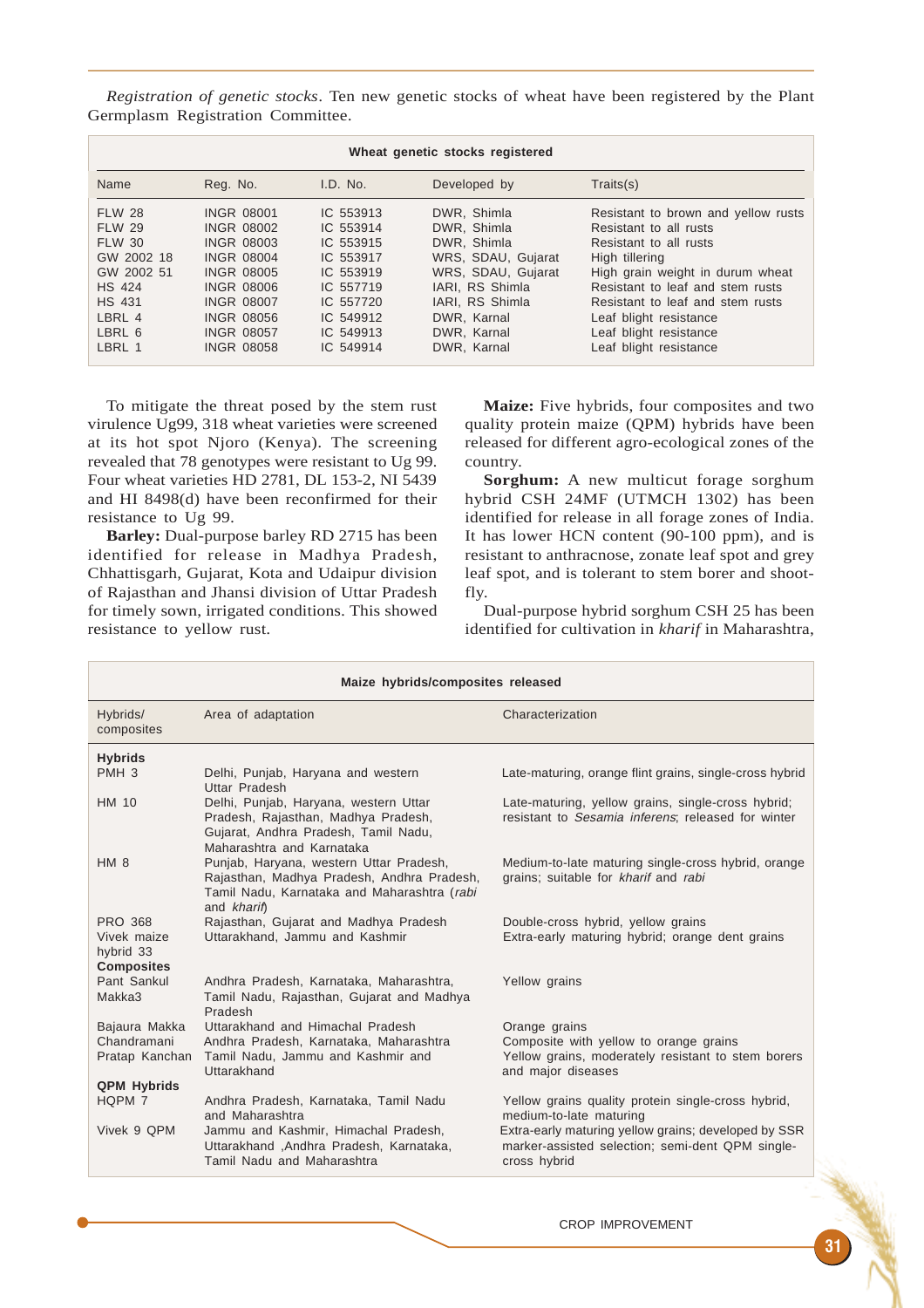*Registration of genetic stocks*. Ten new genetic stocks of wheat have been registered by the Plant Germplasm Registration Committee.

| Wheat genetic stocks registered                                                                                                             |                                                                                                                                                                                                                |                                                                                                                                |                                                                                                                                                                          |                                                                                                                                                                                                                                                                                                     |
|---------------------------------------------------------------------------------------------------------------------------------------------|----------------------------------------------------------------------------------------------------------------------------------------------------------------------------------------------------------------|--------------------------------------------------------------------------------------------------------------------------------|--------------------------------------------------------------------------------------------------------------------------------------------------------------------------|-----------------------------------------------------------------------------------------------------------------------------------------------------------------------------------------------------------------------------------------------------------------------------------------------------|
| Name                                                                                                                                        | Reg. No.                                                                                                                                                                                                       | I.D. No.                                                                                                                       | Developed by                                                                                                                                                             | Traits(s)                                                                                                                                                                                                                                                                                           |
| <b>FLW 28</b><br><b>FLW 29</b><br><b>FLW 30</b><br>GW 2002 18<br>GW 2002 51<br><b>HS 424</b><br><b>HS 431</b><br>LBRL 4<br>LBRL 6<br>LBRL 1 | <b>INGR 08001</b><br><b>INGR 08002</b><br><b>INGR 08003</b><br><b>INGR 08004</b><br><b>INGR 08005</b><br><b>INGR 08006</b><br><b>INGR 08007</b><br><b>INGR 08056</b><br><b>INGR 08057</b><br><b>INGR 08058</b> | IC 553913<br>IC 553914<br>IC 553915<br>IC 553917<br>IC 553919<br>IC 557719<br>IC 557720<br>IC 549912<br>IC 549913<br>IC 549914 | DWR, Shimla<br>DWR. Shimla<br>DWR. Shimla<br>WRS, SDAU, Gujarat<br>WRS, SDAU, Gujarat<br>IARI. RS Shimla<br>IARI, RS Shimla<br>DWR. Karnal<br>DWR. Karnal<br>DWR. Karnal | Resistant to brown and yellow rusts<br>Resistant to all rusts<br>Resistant to all rusts<br>High tillering<br>High grain weight in durum wheat<br>Resistant to leaf and stem rusts<br>Resistant to leaf and stem rusts<br>Leaf blight resistance<br>Leaf blight resistance<br>Leaf blight resistance |

To mitigate the threat posed by the stem rust virulence Ug99, 318 wheat varieties were screened at its hot spot Njoro (Kenya). The screening revealed that 78 genotypes were resistant to Ug 99. Four wheat varieties HD 2781, DL 153-2, NI 5439 and HI 8498(d) have been reconfirmed for their resistance to Ug 99.

**Barley:** Dual-purpose barley RD 2715 has been identified for release in Madhya Pradesh, Chhattisgarh, Gujarat, Kota and Udaipur division of Rajasthan and Jhansi division of Uttar Pradesh for timely sown, irrigated conditions. This showed resistance to yellow rust.

**Maize:** Five hybrids, four composites and two quality protein maize (QPM) hybrids have been released for different agro-ecological zones of the country.

**Sorghum:** A new multicut forage sorghum hybrid CSH 24MF (UTMCH 1302) has been identified for release in all forage zones of India. It has lower HCN content (90-100 ppm), and is resistant to anthracnose, zonate leaf spot and grey leaf spot, and is tolerant to stem borer and shootfly.

Dual-purpose hybrid sorghum CSH 25 has been identified for cultivation in *kharif* in Maharashtra,

| Maize hybrids/composites released                               |                                                                                                                                                     |                                                                                                                          |  |  |
|-----------------------------------------------------------------|-----------------------------------------------------------------------------------------------------------------------------------------------------|--------------------------------------------------------------------------------------------------------------------------|--|--|
| Hybrids/<br>composites                                          | Area of adaptation                                                                                                                                  | Characterization                                                                                                         |  |  |
| <b>Hybrids</b>                                                  |                                                                                                                                                     |                                                                                                                          |  |  |
| PMH <sub>3</sub>                                                | Delhi, Punjab, Haryana and western<br>Uttar Pradesh                                                                                                 | Late-maturing, orange flint grains, single-cross hybrid                                                                  |  |  |
| HM 10                                                           | Delhi, Punjab, Haryana, western Uttar<br>Pradesh, Rajasthan, Madhya Pradesh,<br>Gujarat, Andhra Pradesh, Tamil Nadu,<br>Maharashtra and Karnataka   | Late-maturing, yellow grains, single-cross hybrid;<br>resistant to Sesamia inferens; released for winter                 |  |  |
| HM <sub>8</sub>                                                 | Punjab, Haryana, western Uttar Pradesh,<br>Rajasthan, Madhya Pradesh, Andhra Pradesh,<br>Tamil Nadu, Karnataka and Maharashtra (rabi<br>and kharif) | Medium-to-late maturing single-cross hybrid, orange<br>grains; suitable for kharif and rabi                              |  |  |
| <b>PRO 368</b><br>Vivek maize<br>hybrid 33<br><b>Composites</b> | Rajasthan, Gujarat and Madhya Pradesh<br>Uttarakhand, Jammu and Kashmir                                                                             | Double-cross hybrid, yellow grains<br>Extra-early maturing hybrid; orange dent grains                                    |  |  |
| Pant Sankul<br>Makka3                                           | Andhra Pradesh, Karnataka, Maharashtra,<br>Tamil Nadu, Rajasthan, Gujarat and Madhya<br>Pradesh                                                     | Yellow grains                                                                                                            |  |  |
| Bajaura Makka                                                   | Uttarakhand and Himachal Pradesh                                                                                                                    | Orange grains                                                                                                            |  |  |
| Chandramani<br>Pratap Kanchan                                   | Andhra Pradesh, Karnataka, Maharashtra<br>Tamil Nadu, Jammu and Kashmir and<br>Uttarakhand                                                          | Composite with yellow to orange grains<br>Yellow grains, moderately resistant to stem borers<br>and major diseases       |  |  |
| <b>QPM Hybrids</b>                                              |                                                                                                                                                     |                                                                                                                          |  |  |
| HQPM 7                                                          | Andhra Pradesh, Karnataka, Tamil Nadu<br>and Maharashtra                                                                                            | Yellow grains quality protein single-cross hybrid,<br>medium-to-late maturing                                            |  |  |
| Vivek 9 OPM                                                     | Jammu and Kashmir, Himachal Pradesh,<br>Uttarakhand, Andhra Pradesh, Karnataka,<br>Tamil Nadu and Maharashtra                                       | Extra-early maturing yellow grains; developed by SSR<br>marker-assisted selection; semi-dent QPM single-<br>cross hybrid |  |  |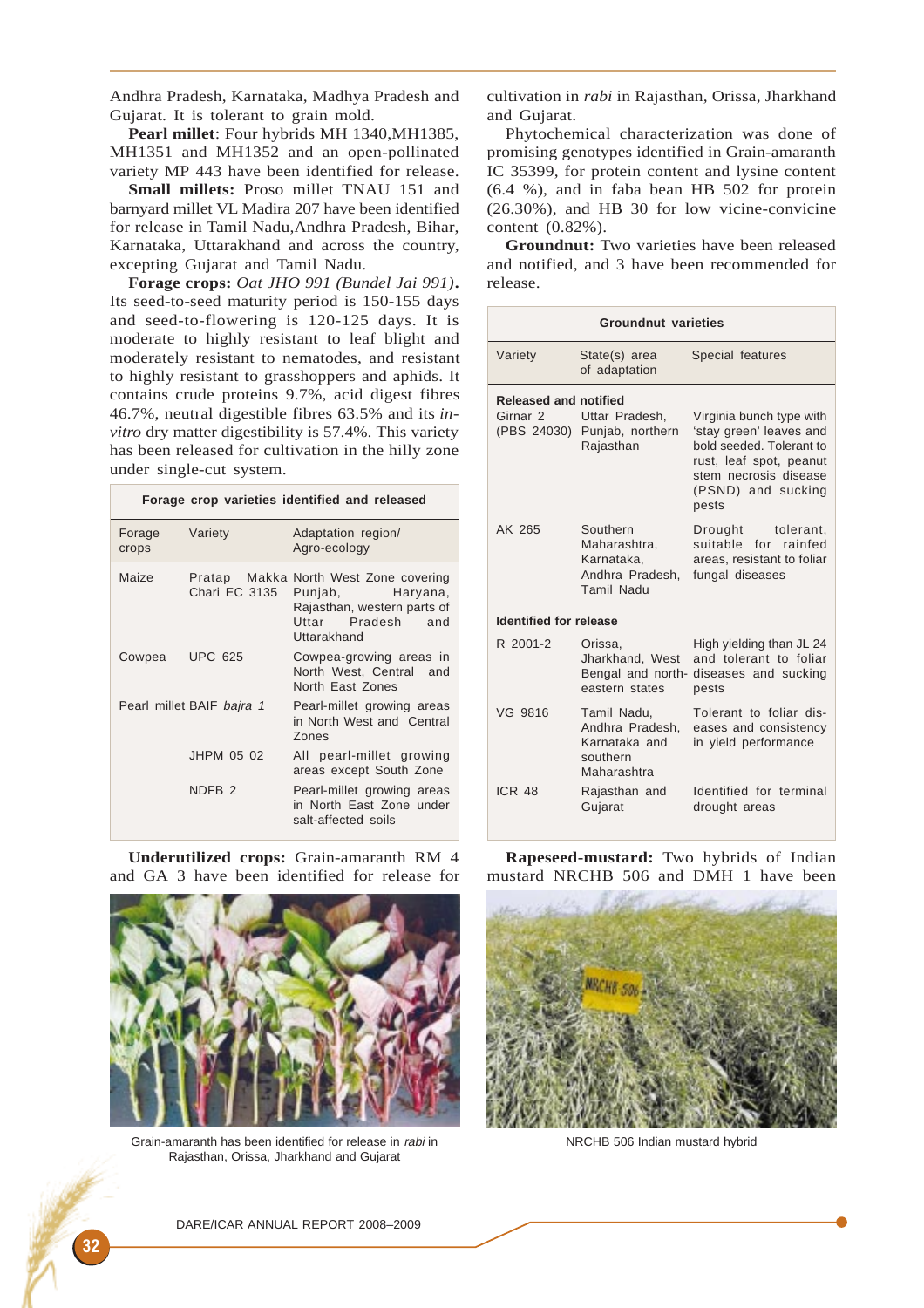Andhra Pradesh, Karnataka, Madhya Pradesh and Gujarat. It is tolerant to grain mold.

**Pearl millet**: Four hybrids MH 1340,MH1385, MH1351 and MH1352 and an open-pollinated variety MP 443 have been identified for release.

**Small millets:** Proso millet TNAU 151 and barnyard millet VL Madira 207 have been identified for release in Tamil Nadu,Andhra Pradesh, Bihar, Karnataka, Uttarakhand and across the country, excepting Gujarat and Tamil Nadu.

**Forage crops:** *Oat JHO 991 (Bundel Jai 991)***.** Its seed-to-seed maturity period is 150-155 days and seed-to-flowering is 120-125 days. It is moderate to highly resistant to leaf blight and moderately resistant to nematodes, and resistant to highly resistant to grasshoppers and aphids. It contains crude proteins 9.7%, acid digest fibres 46.7%, neutral digestible fibres 63.5% and its *invitro* dry matter digestibility is 57.4%. This variety has been released for cultivation in the hilly zone under single-cut system.

|                 |                           | Forage crop varieties identified and released                                                                                   |
|-----------------|---------------------------|---------------------------------------------------------------------------------------------------------------------------------|
| Forage<br>crops | Variety                   | Adaptation region/<br>Agro-ecology                                                                                              |
| Maize           | Chari EC 3135             | Pratap Makka North West Zone covering<br>Punjab, Haryana,<br>Rajasthan, western parts of<br>Uttar Pradesh<br>and<br>Uttarakhand |
| Cowpea          | <b>UPC 625</b>            | Cowpea-growing areas in<br>North West, Central and<br>North East Zones                                                          |
|                 | Pearl millet BAIF bajra 1 | Pearl-millet growing areas<br>in North West and Central<br><b>Zones</b>                                                         |
|                 | JHPM 05 02                | All pearl-millet growing<br>areas except South Zone                                                                             |
|                 | NDFB <sub>2</sub>         | Pearl-millet growing areas<br>in North East Zone under<br>salt-affected soils                                                   |

**Underutilized crops:** Grain-amaranth RM 4 and GA 3 have been identified for release for



Grain-amaranth has been identified for release in rabi in Rajasthan, Orissa, Jharkhand and Gujarat

cultivation in *rabi* in Rajasthan, Orissa, Jharkhand and Gujarat.

Phytochemical characterization was done of promising genotypes identified in Grain-amaranth IC 35399, for protein content and lysine content (6.4 %), and in faba bean HB 502 for protein (26.30%), and HB 30 for low vicine-convicine content (0.82%).

**Groundnut:** Two varieties have been released and notified, and 3 have been recommended for release.

| <b>Groundnut varieties</b>    |                                                                            |                                                                                                                                                                    |  |  |
|-------------------------------|----------------------------------------------------------------------------|--------------------------------------------------------------------------------------------------------------------------------------------------------------------|--|--|
| Variety                       | State(s) area<br>of adaptation                                             | Special features                                                                                                                                                   |  |  |
| Released and notified         |                                                                            |                                                                                                                                                                    |  |  |
| Girnar 2                      | Uttar Pradesh.<br>(PBS 24030) Punjab, northern<br>Rajasthan                | Virginia bunch type with<br>'stay green' leaves and<br>bold seeded. Tolerant to<br>rust, leaf spot, peanut<br>stem necrosis disease<br>(PSND) and sucking<br>pests |  |  |
| AK 265                        | Southern<br>Maharashtra,<br>Karnataka,<br>Andhra Pradesh.<br>Tamil Nadu    | Drought tolerant,<br>suitable for rainfed<br>areas, resistant to foliar<br>fungal diseases                                                                         |  |  |
| <b>Identified for release</b> |                                                                            |                                                                                                                                                                    |  |  |
| R 2001-2                      | Orissa,<br>Jharkhand, West<br>eastern states                               | High yielding than JL 24<br>and tolerant to foliar<br>Bengal and north- diseases and sucking<br>pests                                                              |  |  |
| VG 9816                       | Tamil Nadu,<br>Andhra Pradesh,<br>Karnataka and<br>southern<br>Maharashtra | Tolerant to foliar dis-<br>eases and consistency<br>in yield performance                                                                                           |  |  |
| ICR <sub>48</sub>             | Rajasthan and<br>Gujarat                                                   | Identified for terminal<br>drought areas                                                                                                                           |  |  |

**Rapeseed-mustard:** Two hybrids of Indian mustard NRCHB 506 and DMH 1 have been



NRCHB 506 Indian mustard hybrid

DARE/ICAR ANNUAL REPORT 2008–2009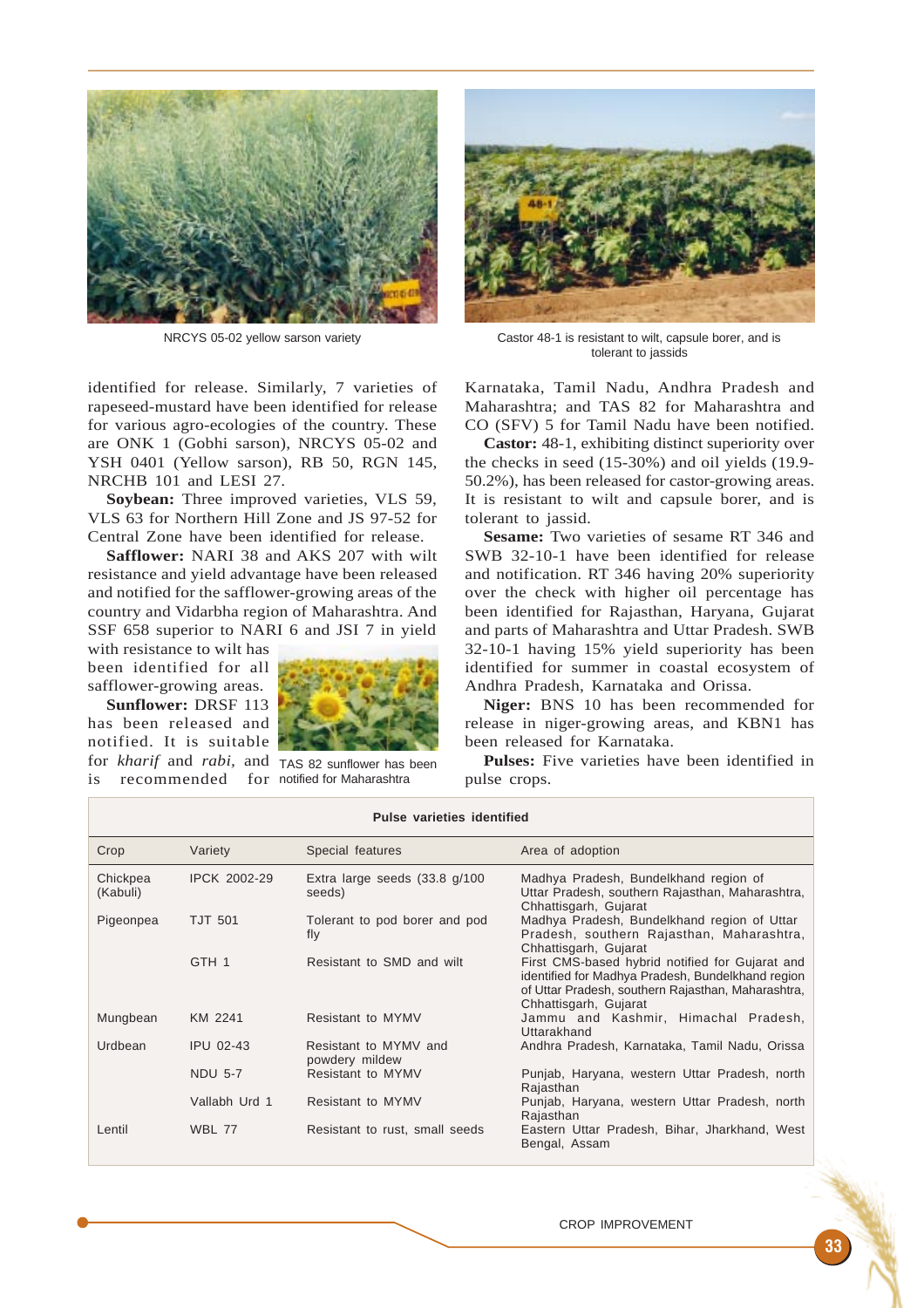

NRCYS 05-02 yellow sarson variety

identified for release. Similarly, 7 varieties of rapeseed-mustard have been identified for release for various agro-ecologies of the country. These are ONK 1 (Gobhi sarson), NRCYS 05-02 and YSH 0401 (Yellow sarson), RB 50, RGN 145, NRCHB 101 and LESI 27.

**Soybean:** Three improved varieties, VLS 59, VLS 63 for Northern Hill Zone and JS 97-52 for Central Zone have been identified for release.

**Safflower:** NARI 38 and AKS 207 with wilt resistance and yield advantage have been released and notified for the safflower-growing areas of the country and Vidarbha region of Maharashtra. And SSF 658 superior to NARI 6 and JSI 7 in yield

with resistance to wilt has been identified for all safflower-growing areas.

**Sunflower:** DRSF 113 has been released and notified. It is suitable for *kharif* and *rabi,* and TAS 82 sunflower has been is recommended for notified for Maharashtra





Castor 48-1 is resistant to wilt, capsule borer, and is tolerant to jassids

Karnataka, Tamil Nadu, Andhra Pradesh and Maharashtra; and TAS 82 for Maharashtra and CO (SFV) 5 for Tamil Nadu have been notified.

**Castor:** 48-1, exhibiting distinct superiority over the checks in seed (15-30%) and oil yields (19.9- 50.2%), has been released for castor-growing areas. It is resistant to wilt and capsule borer, and is tolerant to jassid.

**Sesame:** Two varieties of sesame RT 346 and SWB 32-10-1 have been identified for release and notification. RT 346 having 20% superiority over the check with higher oil percentage has been identified for Rajasthan, Haryana, Gujarat and parts of Maharashtra and Uttar Pradesh. SWB 32-10-1 having 15% yield superiority has been identified for summer in coastal ecosystem of Andhra Pradesh, Karnataka and Orissa.

**Niger:** BNS 10 has been recommended for release in niger-growing areas, and KBN1 has been released for Karnataka.

**Pulses:** Five varieties have been identified in pulse crops.

| Pulse varieties identified |                     |                                           |                                                                                                                                                                                     |  |
|----------------------------|---------------------|-------------------------------------------|-------------------------------------------------------------------------------------------------------------------------------------------------------------------------------------|--|
| Crop                       | Variety             | Special features                          | Area of adoption                                                                                                                                                                    |  |
| Chickpea<br>(Kabuli)       | <b>IPCK 2002-29</b> | Extra large seeds $(33.8 g/100$<br>seeds) | Madhya Pradesh, Bundelkhand region of<br>Uttar Pradesh, southern Rajasthan, Maharashtra,<br>Chhattisgarh, Gujarat                                                                   |  |
| Pigeonpea                  | <b>TJT 501</b>      | Tolerant to pod borer and pod<br>fly      | Madhya Pradesh, Bundelkhand region of Uttar<br>Pradesh, southern Rajasthan, Maharashtra,<br>Chhattisgarh, Gujarat                                                                   |  |
|                            | GTH <sub>1</sub>    | Resistant to SMD and wilt                 | First CMS-based hybrid notified for Gujarat and<br>identified for Madhya Pradesh, Bundelkhand region<br>of Uttar Pradesh, southern Rajasthan, Maharashtra,<br>Chhattisgarh, Gujarat |  |
| Mungbean                   | KM 2241             | Resistant to MYMV                         | Jammu and Kashmir, Himachal Pradesh,<br>Uttarakhand                                                                                                                                 |  |
| Urdbean                    | <b>IPU 02-43</b>    | Resistant to MYMV and<br>powdery mildew   | Andhra Pradesh, Karnataka, Tamil Nadu, Orissa                                                                                                                                       |  |
|                            | <b>NDU 5-7</b>      | Resistant to MYMV                         | Punjab, Haryana, western Uttar Pradesh, north<br>Rajasthan                                                                                                                          |  |
|                            | Vallabh Urd 1       | Resistant to MYMV                         | Punjab, Haryana, western Uttar Pradesh, north<br>Rajasthan                                                                                                                          |  |
| Lentil                     | <b>WBL 77</b>       | Resistant to rust, small seeds            | Eastern Uttar Pradesh, Bihar, Jharkhand, West<br>Bengal, Assam                                                                                                                      |  |

#### CROP IMPROVEMENT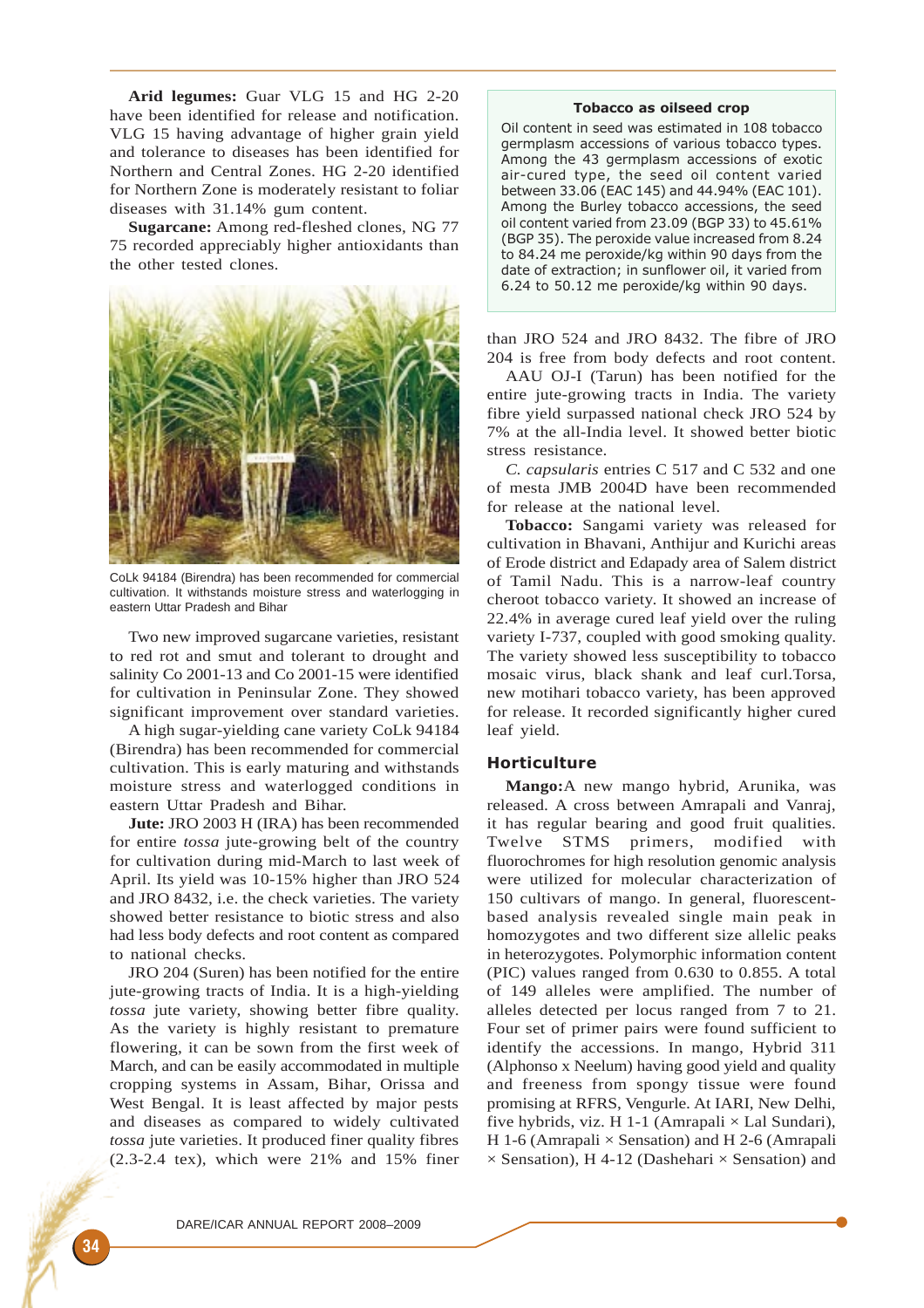**Arid legumes:** Guar VLG 15 and HG 2-20 have been identified for release and notification. VLG 15 having advantage of higher grain yield and tolerance to diseases has been identified for Northern and Central Zones. HG 2-20 identified for Northern Zone is moderately resistant to foliar diseases with 31.14% gum content.

**Sugarcane:** Among red-fleshed clones, NG 77 75 recorded appreciably higher antioxidants than the other tested clones.



CoLk 94184 (Birendra) has been recommended for commercial cultivation. It withstands moisture stress and waterlogging in eastern Uttar Pradesh and Bihar

Two new improved sugarcane varieties, resistant to red rot and smut and tolerant to drought and salinity Co 2001-13 and Co 2001-15 were identified for cultivation in Peninsular Zone. They showed significant improvement over standard varieties.

A high sugar-yielding cane variety CoLk 94184 (Birendra) has been recommended for commercial cultivation. This is early maturing and withstands moisture stress and waterlogged conditions in eastern Uttar Pradesh and Bihar.

**Jute:** JRO 2003 H (IRA) has been recommended for entire *tossa* jute-growing belt of the country for cultivation during mid-March to last week of April. Its yield was 10-15% higher than JRO 524 and JRO 8432, i.e. the check varieties. The variety showed better resistance to biotic stress and also had less body defects and root content as compared to national checks.

JRO 204 (Suren) has been notified for the entire jute-growing tracts of India. It is a high-yielding *tossa* jute variety, showing better fibre quality. As the variety is highly resistant to premature flowering, it can be sown from the first week of March, and can be easily accommodated in multiple cropping systems in Assam, Bihar, Orissa and West Bengal. It is least affected by major pests and diseases as compared to widely cultivated *tossa* jute varieties. It produced finer quality fibres (2.3-2.4 tex), which were 21% and 15% finer

## Tobacco as oilseed crop

Oil content in seed was estimated in 108 tobacco germplasm accessions of various tobacco types. Among the 43 germplasm accessions of exotic air-cured type, the seed oil content varied between 33.06 (EAC 145) and 44.94% (EAC 101). Among the Burley tobacco accessions, the seed oil content varied from 23.09 (BGP 33) to 45.61% (BGP 35). The peroxide value increased from 8.24 to 84.24 me peroxide/kg within 90 days from the date of extraction; in sunflower oil, it varied from 6.24 to 50.12 me peroxide/kg within 90 days.

than JRO 524 and JRO 8432. The fibre of JRO 204 is free from body defects and root content.

AAU OJ-I (Tarun) has been notified for the entire jute-growing tracts in India. The variety fibre yield surpassed national check JRO 524 by 7% at the all-India level. It showed better biotic stress resistance.

*C. capsularis* entries C 517 and C 532 and one of mesta JMB 2004D have been recommended for release at the national level.

**Tobacco:** Sangami variety was released for cultivation in Bhavani, Anthijur and Kurichi areas of Erode district and Edapady area of Salem district of Tamil Nadu. This is a narrow-leaf country cheroot tobacco variety. It showed an increase of 22.4% in average cured leaf yield over the ruling variety I-737, coupled with good smoking quality. The variety showed less susceptibility to tobacco mosaic virus, black shank and leaf curl.Torsa, new motihari tobacco variety, has been approved for release. It recorded significantly higher cured leaf yield.

# Horticulture

**Mango:**A new mango hybrid, Arunika, was released. A cross between Amrapali and Vanraj, it has regular bearing and good fruit qualities. Twelve STMS primers, modified with fluorochromes for high resolution genomic analysis were utilized for molecular characterization of 150 cultivars of mango. In general, fluorescentbased analysis revealed single main peak in homozygotes and two different size allelic peaks in heterozygotes. Polymorphic information content (PIC) values ranged from 0.630 to 0.855. A total of 149 alleles were amplified. The number of alleles detected per locus ranged from 7 to 21. Four set of primer pairs were found sufficient to identify the accessions. In mango, Hybrid 311 (Alphonso x Neelum) having good yield and quality and freeness from spongy tissue were found promising at RFRS, Vengurle. At IARI, New Delhi, five hybrids, viz. H 1-1 (Amrapali  $\times$  Lal Sundari), H 1-6 (Amrapali  $\times$  Sensation) and H 2-6 (Amrapali  $\times$  Sensation), H 4-12 (Dashehari  $\times$  Sensation) and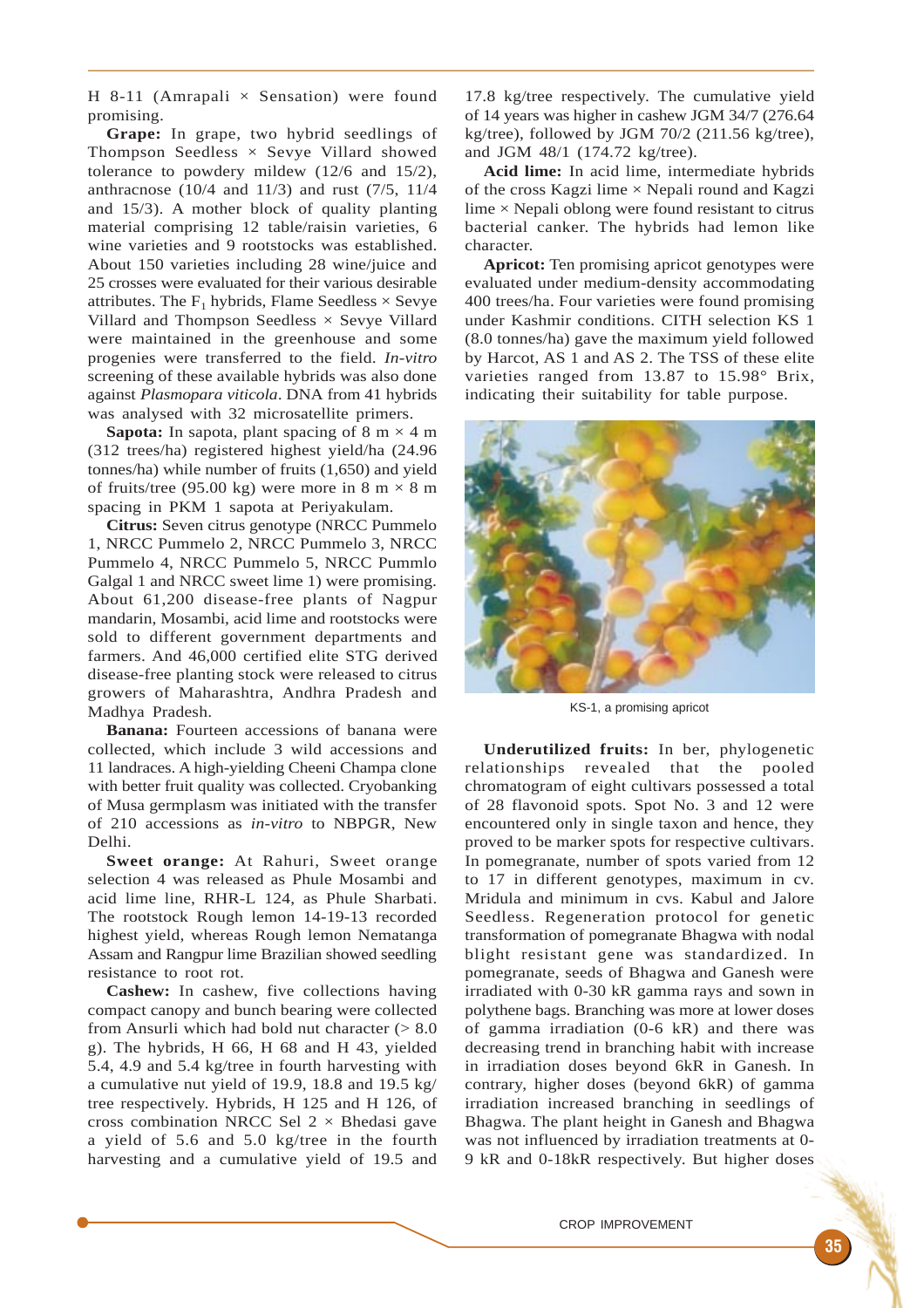H 8-11 (Amrapali  $\times$  Sensation) were found promising.

**Grape:** In grape, two hybrid seedlings of Thompson Seedless  $\times$  Sevye Villard showed tolerance to powdery mildew (12/6 and 15/2), anthracnose (10/4 and 11/3) and rust (7/5, 11/4 and 15/3). A mother block of quality planting material comprising 12 table/raisin varieties, 6 wine varieties and 9 rootstocks was established. About 150 varieties including 28 wine/juice and 25 crosses were evaluated for their various desirable attributes. The  $F_1$  hybrids, Flame Seedless  $\times$  Sevye Villard and Thompson Seedless × Sevye Villard were maintained in the greenhouse and some progenies were transferred to the field. *In-vitro* screening of these available hybrids was also done against *Plasmopara viticola*. DNA from 41 hybrids was analysed with 32 microsatellite primers.

**Sapota:** In sapota, plant spacing of  $8 \text{ m} \times 4 \text{ m}$ (312 trees/ha) registered highest yield/ha (24.96 tonnes/ha) while number of fruits (1,650) and yield of fruits/tree (95.00 kg) were more in 8 m  $\times$  8 m spacing in PKM 1 sapota at Periyakulam.

**Citrus:** Seven citrus genotype (NRCC Pummelo 1, NRCC Pummelo 2, NRCC Pummelo 3, NRCC Pummelo 4, NRCC Pummelo 5, NRCC Pummlo Galgal 1 and NRCC sweet lime 1) were promising. About 61,200 disease-free plants of Nagpur mandarin, Mosambi, acid lime and rootstocks were sold to different government departments and farmers. And 46,000 certified elite STG derived disease-free planting stock were released to citrus growers of Maharashtra, Andhra Pradesh and Madhya Pradesh.

**Banana:** Fourteen accessions of banana were collected, which include 3 wild accessions and 11 landraces. A high-yielding Cheeni Champa clone with better fruit quality was collected. Cryobanking of Musa germplasm was initiated with the transfer of 210 accessions as *in-vitro* to NBPGR, New Delhi.

**Sweet orange:** At Rahuri, Sweet orange selection 4 was released as Phule Mosambi and acid lime line, RHR-L 124, as Phule Sharbati. The rootstock Rough lemon 14-19-13 recorded highest yield, whereas Rough lemon Nematanga Assam and Rangpur lime Brazilian showed seedling resistance to root rot.

**Cashew:** In cashew, five collections having compact canopy and bunch bearing were collected from Ansurli which had bold nut character  $(> 8.0$ g). The hybrids, H 66, H 68 and H 43, yielded 5.4, 4.9 and 5.4 kg/tree in fourth harvesting with a cumulative nut yield of 19.9, 18.8 and 19.5 kg/ tree respectively. Hybrids, H 125 and H 126, of cross combination NRCC Sel  $2 \times$  Bhedasi gave a yield of 5.6 and 5.0 kg/tree in the fourth harvesting and a cumulative yield of 19.5 and

17.8 kg/tree respectively. The cumulative yield of 14 years was higher in cashew JGM 34/7 (276.64 kg/tree), followed by JGM  $70/2$  (211.56 kg/tree). and JGM 48/1 (174.72 kg/tree).

**Acid lime:** In acid lime, intermediate hybrids of the cross Kagzi lime  $\times$  Nepali round and Kagzi lime  $\times$  Nepali oblong were found resistant to citrus bacterial canker. The hybrids had lemon like character.

**Apricot:** Ten promising apricot genotypes were evaluated under medium-density accommodating 400 trees/ha. Four varieties were found promising under Kashmir conditions. CITH selection KS 1 (8.0 tonnes/ha) gave the maximum yield followed by Harcot, AS 1 and AS 2. The TSS of these elite varieties ranged from 13.87 to 15.98° Brix, indicating their suitability for table purpose.



KS-1, a promising apricot

**Underutilized fruits:** In ber, phylogenetic relationships revealed that the pooled chromatogram of eight cultivars possessed a total of 28 flavonoid spots. Spot No. 3 and 12 were encountered only in single taxon and hence, they proved to be marker spots for respective cultivars. In pomegranate, number of spots varied from 12 to 17 in different genotypes, maximum in cv. Mridula and minimum in cvs. Kabul and Jalore Seedless. Regeneration protocol for genetic transformation of pomegranate Bhagwa with nodal blight resistant gene was standardized. In pomegranate, seeds of Bhagwa and Ganesh were irradiated with 0-30 kR gamma rays and sown in polythene bags. Branching was more at lower doses of gamma irradiation (0-6 kR) and there was decreasing trend in branching habit with increase in irradiation doses beyond 6kR in Ganesh. In contrary, higher doses (beyond 6kR) of gamma irradiation increased branching in seedlings of Bhagwa. The plant height in Ganesh and Bhagwa was not influenced by irradiation treatments at 0- 9 kR and 0-18kR respectively. But higher doses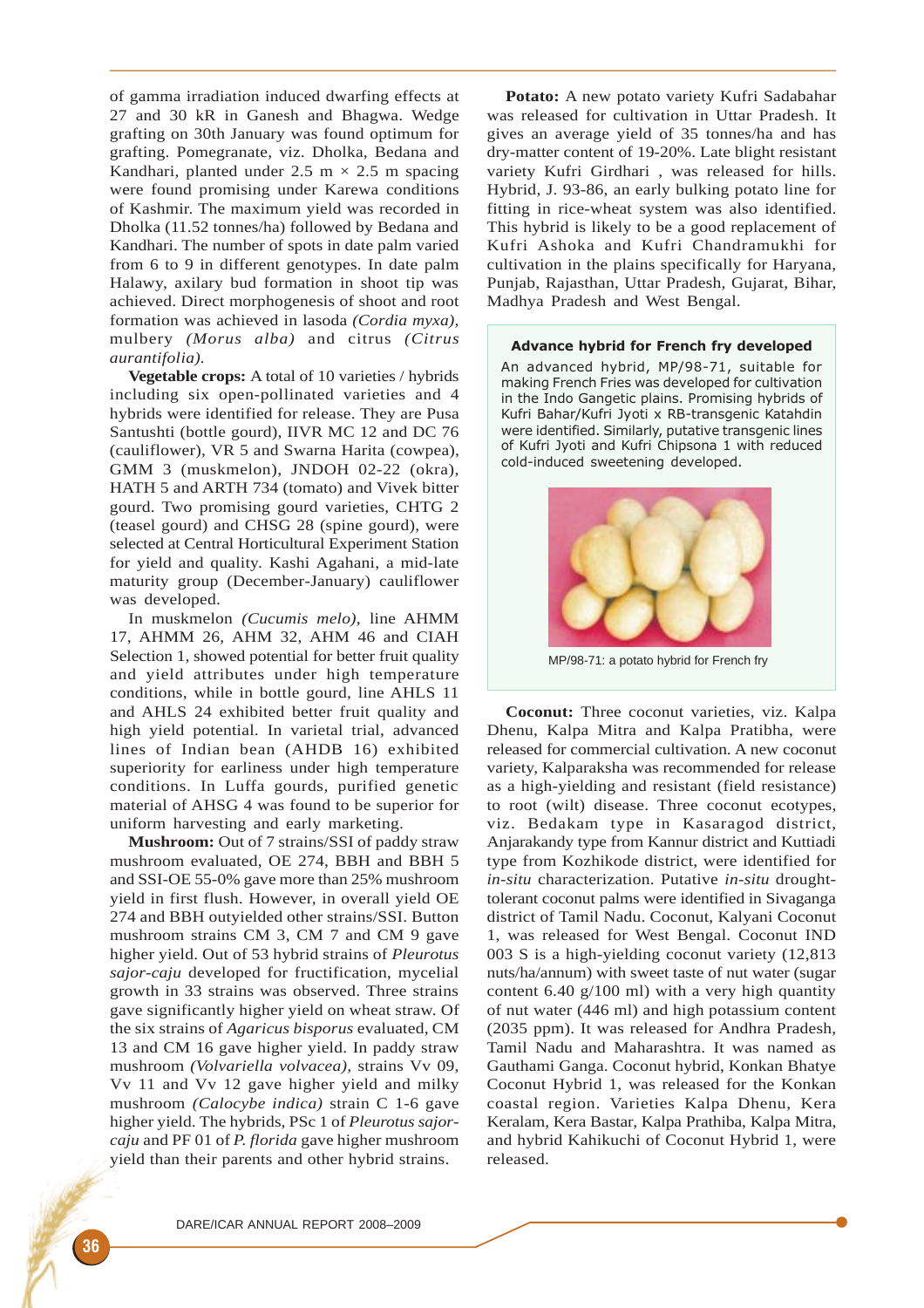of gamma irradiation induced dwarfing effects at 27 and 30 kR in Ganesh and Bhagwa. Wedge grafting on 30th January was found optimum for grafting. Pomegranate, viz. Dholka, Bedana and Kandhari, planted under  $2.5 \text{ m} \times 2.5 \text{ m}$  spacing were found promising under Karewa conditions of Kashmir. The maximum yield was recorded in Dholka (11.52 tonnes/ha) followed by Bedana and Kandhari. The number of spots in date palm varied from 6 to 9 in different genotypes. In date palm Halawy, axilary bud formation in shoot tip was achieved. Direct morphogenesis of shoot and root formation was achieved in lasoda *(Cordia myxa),* mulbery *(Morus alba)* and citrus *(Citrus aurantifolia).*

**Vegetable crops:** A total of 10 varieties / hybrids including six open-pollinated varieties and 4 hybrids were identified for release. They are Pusa Santushti (bottle gourd), IIVR MC 12 and DC 76 (cauliflower), VR 5 and Swarna Harita (cowpea), GMM 3 (muskmelon), JNDOH 02-22 (okra), HATH 5 and ARTH 734 (tomato) and Vivek bitter gourd. Two promising gourd varieties, CHTG 2 (teasel gourd) and CHSG 28 (spine gourd), were selected at Central Horticultural Experiment Station for yield and quality. Kashi Agahani, a mid-late maturity group (December-January) cauliflower was developed.

In muskmelon *(Cucumis melo),* line AHMM 17, AHMM 26, AHM 32, AHM 46 and CIAH Selection 1, showed potential for better fruit quality and yield attributes under high temperature conditions, while in bottle gourd, line AHLS 11 and AHLS 24 exhibited better fruit quality and high yield potential. In varietal trial, advanced lines of Indian bean (AHDB 16) exhibited superiority for earliness under high temperature conditions. In Luffa gourds, purified genetic material of AHSG 4 was found to be superior for uniform harvesting and early marketing.

**Mushroom:** Out of 7 strains/SSI of paddy straw mushroom evaluated, OE 274, BBH and BBH 5 and SSI-OE 55-0% gave more than 25% mushroom yield in first flush. However, in overall yield OE 274 and BBH outyielded other strains/SSI. Button mushroom strains CM 3, CM 7 and CM 9 gave higher yield. Out of 53 hybrid strains of *Pleurotus sajor-caju* developed for fructification, mycelial growth in 33 strains was observed. Three strains gave significantly higher yield on wheat straw. Of the six strains of *Agaricus bisporus* evaluated, CM 13 and CM 16 gave higher yield. In paddy straw mushroom *(Volvariella volvacea),* strains Vv 09, Vv 11 and Vv 12 gave higher yield and milky mushroom *(Calocybe indica)* strain C 1-6 gave higher yield. The hybrids, PSc 1 of *Pleurotus sajorcaju* and PF 01 of *P. florida* gave higher mushroom yield than their parents and other hybrid strains.

**Potato:** A new potato variety Kufri Sadabahar was released for cultivation in Uttar Pradesh. It gives an average yield of 35 tonnes/ha and has dry-matter content of 19-20%. Late blight resistant variety Kufri Girdhari , was released for hills. Hybrid, J. 93-86, an early bulking potato line for fitting in rice-wheat system was also identified. This hybrid is likely to be a good replacement of Kufri Ashoka and Kufri Chandramukhi for cultivation in the plains specifically for Haryana, Punjab, Rajasthan, Uttar Pradesh, Gujarat, Bihar, Madhya Pradesh and West Bengal.

## Advance hybrid for French fry developed

An advanced hybrid, MP/98-71, suitable for making French Fries was developed for cultivation in the Indo Gangetic plains. Promising hybrids of Kufri Bahar/Kufri Jyoti x RB-transgenic Katahdin were identified. Similarly, putative transgenic lines of Kufri Jyoti and Kufri Chipsona 1 with reduced cold-induced sweetening developed.



MP/98-71: a potato hybrid for French fry

**Coconut:** Three coconut varieties, viz. Kalpa Dhenu, Kalpa Mitra and Kalpa Pratibha, were released for commercial cultivation. A new coconut variety, Kalparaksha was recommended for release as a high-yielding and resistant (field resistance) to root (wilt) disease. Three coconut ecotypes, viz. Bedakam type in Kasaragod district, Anjarakandy type from Kannur district and Kuttiadi type from Kozhikode district, were identified for *in-situ* characterization. Putative *in-situ* droughttolerant coconut palms were identified in Sivaganga district of Tamil Nadu. Coconut, Kalyani Coconut 1, was released for West Bengal. Coconut IND 003 S is a high-yielding coconut variety (12,813 nuts/ha/annum) with sweet taste of nut water (sugar content 6.40 g/100 ml) with a very high quantity of nut water (446 ml) and high potassium content (2035 ppm). It was released for Andhra Pradesh, Tamil Nadu and Maharashtra. It was named as Gauthami Ganga. Coconut hybrid, Konkan Bhatye Coconut Hybrid 1, was released for the Konkan coastal region. Varieties Kalpa Dhenu, Kera Keralam, Kera Bastar, Kalpa Prathiba, Kalpa Mitra, and hybrid Kahikuchi of Coconut Hybrid 1, were released.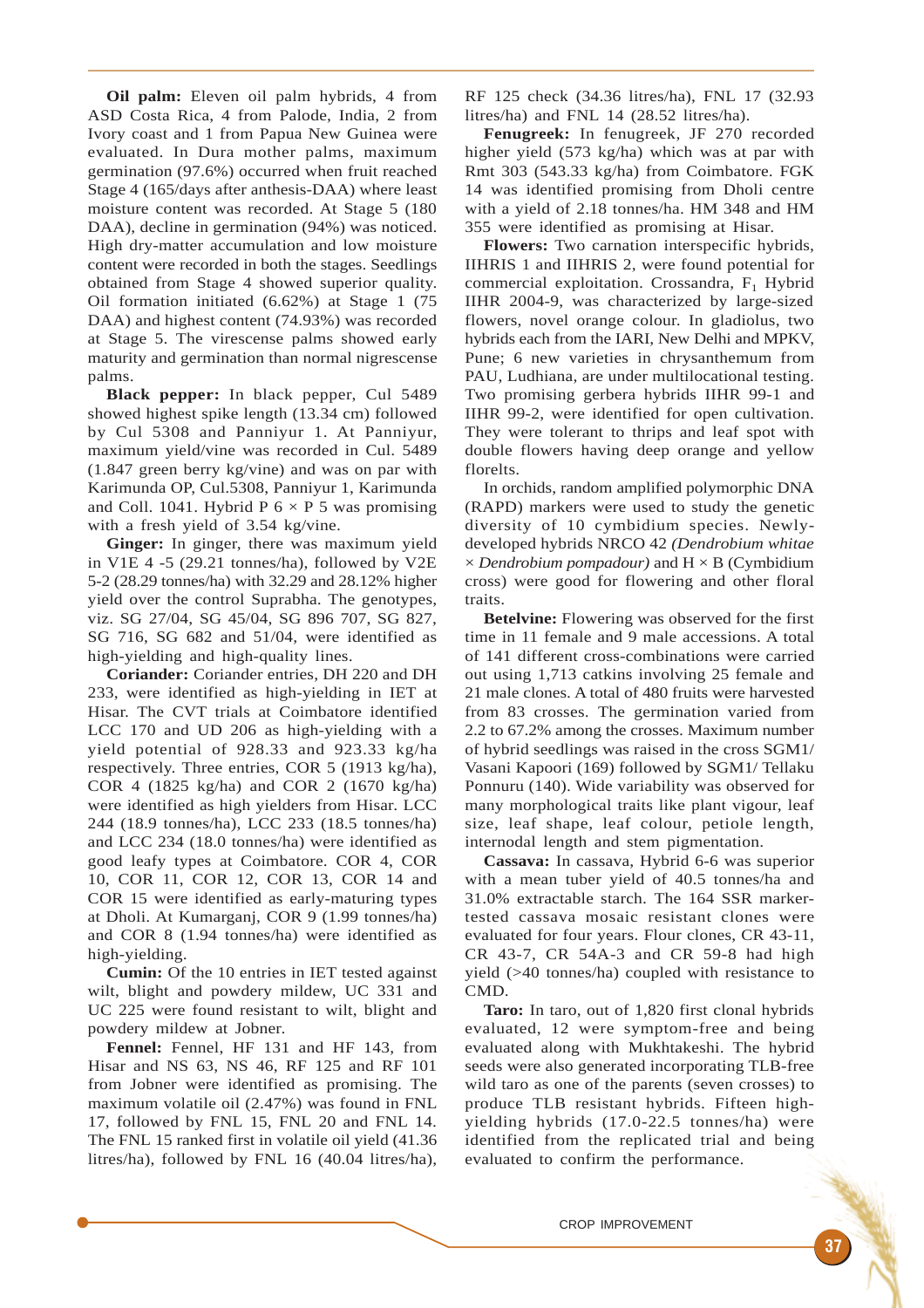**Oil palm:** Eleven oil palm hybrids, 4 from ASD Costa Rica, 4 from Palode, India, 2 from Ivory coast and 1 from Papua New Guinea were evaluated. In Dura mother palms, maximum germination (97.6%) occurred when fruit reached Stage 4 (165/days after anthesis-DAA) where least moisture content was recorded. At Stage 5 (180 DAA), decline in germination (94%) was noticed. High dry-matter accumulation and low moisture content were recorded in both the stages. Seedlings obtained from Stage 4 showed superior quality. Oil formation initiated (6.62%) at Stage 1 (75 DAA) and highest content (74.93%) was recorded at Stage 5. The virescense palms showed early maturity and germination than normal nigrescense palms.

**Black pepper:** In black pepper, Cul 5489 showed highest spike length (13.34 cm) followed by Cul 5308 and Panniyur 1. At Panniyur, maximum yield/vine was recorded in Cul. 5489 (1.847 green berry kg/vine) and was on par with Karimunda OP, Cul.5308, Panniyur 1, Karimunda and Coll. 1041. Hybrid P  $6 \times P$  5 was promising with a fresh yield of 3.54 kg/vine.

**Ginger:** In ginger, there was maximum yield in V1E 4 -5 (29.21 tonnes/ha), followed by V2E 5-2 (28.29 tonnes/ha) with 32.29 and 28.12% higher yield over the control Suprabha. The genotypes, viz. SG 27/04, SG 45/04, SG 896 707, SG 827, SG 716, SG 682 and 51/04, were identified as high-yielding and high-quality lines.

**Coriander:** Coriander entries, DH 220 and DH 233, were identified as high-yielding in IET at Hisar. The CVT trials at Coimbatore identified LCC 170 and UD 206 as high-yielding with a yield potential of 928.33 and 923.33 kg/ha respectively. Three entries, COR 5 (1913 kg/ha), COR 4 (1825 kg/ha) and COR 2 (1670 kg/ha) were identified as high yielders from Hisar. LCC 244 (18.9 tonnes/ha), LCC 233 (18.5 tonnes/ha) and LCC 234 (18.0 tonnes/ha) were identified as good leafy types at Coimbatore. COR 4, COR 10, COR 11, COR 12, COR 13, COR 14 and COR 15 were identified as early-maturing types at Dholi. At Kumarganj, COR 9 (1.99 tonnes/ha) and COR 8 (1.94 tonnes/ha) were identified as high-yielding.

**Cumin:** Of the 10 entries in IET tested against wilt, blight and powdery mildew, UC 331 and UC 225 were found resistant to wilt, blight and powdery mildew at Jobner.

**Fennel:** Fennel, HF 131 and HF 143, from Hisar and NS 63, NS 46, RF 125 and RF 101 from Jobner were identified as promising. The maximum volatile oil (2.47%) was found in FNL 17, followed by FNL 15, FNL 20 and FNL 14. The FNL 15 ranked first in volatile oil yield (41.36 litres/ha), followed by FNL 16 (40.04 litres/ha),

RF 125 check (34.36 litres/ha), FNL 17 (32.93 litres/ha) and FNL 14 (28.52 litres/ha).

**Fenugreek:** In fenugreek, JF 270 recorded higher yield (573 kg/ha) which was at par with Rmt 303 (543.33 kg/ha) from Coimbatore. FGK 14 was identified promising from Dholi centre with a yield of 2.18 tonnes/ha. HM 348 and HM 355 were identified as promising at Hisar.

**Flowers:** Two carnation interspecific hybrids, IIHRIS 1 and IIHRIS 2, were found potential for commercial exploitation. Crossandra, F<sub>1</sub> Hybrid IIHR 2004-9, was characterized by large-sized flowers, novel orange colour. In gladiolus, two hybrids each from the IARI, New Delhi and MPKV, Pune; 6 new varieties in chrysanthemum from PAU, Ludhiana, are under multilocational testing. Two promising gerbera hybrids IIHR 99-1 and IIHR 99-2, were identified for open cultivation. They were tolerant to thrips and leaf spot with double flowers having deep orange and yellow florelts.

In orchids, random amplified polymorphic DNA (RAPD) markers were used to study the genetic diversity of 10 cymbidium species. Newlydeveloped hybrids NRCO 42 *(Dendrobium whitae*  $\times$  *Dendrobium pompadour*) and  $H \times B$  (Cymbidium cross) were good for flowering and other floral traits.

**Betelvine:** Flowering was observed for the first time in 11 female and 9 male accessions. A total of 141 different cross-combinations were carried out using 1,713 catkins involving 25 female and 21 male clones. A total of 480 fruits were harvested from 83 crosses. The germination varied from 2.2 to 67.2% among the crosses. Maximum number of hybrid seedlings was raised in the cross SGM1/ Vasani Kapoori (169) followed by SGM1/ Tellaku Ponnuru (140). Wide variability was observed for many morphological traits like plant vigour, leaf size, leaf shape, leaf colour, petiole length, internodal length and stem pigmentation.

**Cassava:** In cassava, Hybrid 6-6 was superior with a mean tuber yield of 40.5 tonnes/ha and 31.0% extractable starch. The 164 SSR markertested cassava mosaic resistant clones were evaluated for four years. Flour clones, CR 43-11, CR 43-7, CR 54A-3 and CR 59-8 had high yield (>40 tonnes/ha) coupled with resistance to CMD.

**Taro:** In taro, out of 1,820 first clonal hybrids evaluated, 12 were symptom-free and being evaluated along with Mukhtakeshi. The hybrid seeds were also generated incorporating TLB-free wild taro as one of the parents (seven crosses) to produce TLB resistant hybrids. Fifteen highyielding hybrids (17.0-22.5 tonnes/ha) were identified from the replicated trial and being evaluated to confirm the performance.

CROP IMPROVEMENT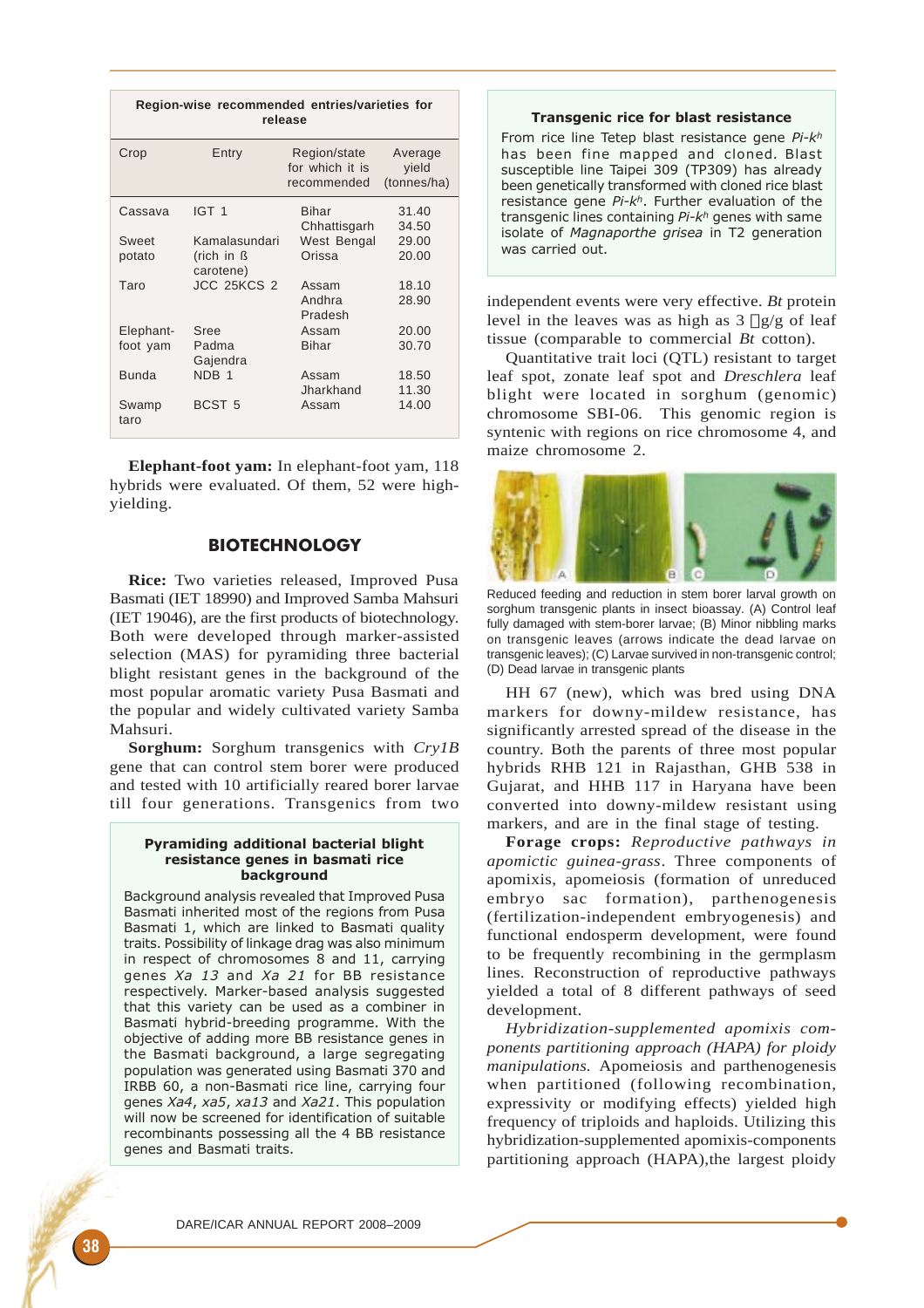| Region-wise recommended entries/varieties for<br>release |                         |                                                |                                 |  |
|----------------------------------------------------------|-------------------------|------------------------------------------------|---------------------------------|--|
| Crop                                                     | Entry                   | Region/state<br>for which it is<br>recommended | Average<br>yield<br>(tonnes/ha) |  |
| Cassava                                                  | IGT <sub>1</sub>        | Bihar                                          | 31.40                           |  |
|                                                          |                         | Chhattisgarh                                   | 34.50                           |  |
| Sweet                                                    | Kamalasundari           | West Bengal                                    | 29.00                           |  |
| potato                                                   | (rich in ß<br>carotene) | Orissa                                         | 20.00                           |  |
| Taro                                                     | <b>JCC 25KCS 2</b>      | Assam                                          | 18.10                           |  |
|                                                          |                         | Andhra<br>Pradesh                              | 28.90                           |  |
| Elephant-                                                | Sree                    | Assam                                          | 20.00                           |  |
| foot yam                                                 | Padma<br>Gajendra       | Bihar                                          | 30.70                           |  |
| <b>Bunda</b>                                             | NDB <sub>1</sub>        | Assam<br>Jharkhand                             | 18.50<br>11.30                  |  |
| Swamp<br>taro                                            | BCST <sub>5</sub>       | Assam                                          | 14.00                           |  |

**Elephant-foot yam:** In elephant-foot yam, 118 hybrids were evaluated. Of them, 52 were highyielding.

# **BIOTECHNOLOGY**

**Rice:** Two varieties released, Improved Pusa Basmati (IET 18990) and Improved Samba Mahsuri (IET 19046), are the first products of biotechnology. Both were developed through marker-assisted selection (MAS) for pyramiding three bacterial blight resistant genes in the background of the most popular aromatic variety Pusa Basmati and the popular and widely cultivated variety Samba Mahsuri.

**Sorghum:** Sorghum transgenics with *Cry1B* gene that can control stem borer were produced and tested with 10 artificially reared borer larvae till four generations. Transgenics from two

### Pyramiding additional bacterial blight resistance genes in basmati rice background

Background analysis revealed that Improved Pusa Basmati inherited most of the regions from Pusa Basmati 1, which are linked to Basmati quality traits. Possibility of linkage drag was also minimum in respect of chromosomes 8 and 11, carrying genes Xa 13 and Xa 21 for BB resistance respectively. Marker-based analysis suggested that this variety can be used as a combiner in Basmati hybrid-breeding programme. With the objective of adding more BB resistance genes in the Basmati background, a large segregating population was generated using Basmati 370 and IRBB 60, a non-Basmati rice line, carrying four genes Xa4, xa5, xa13 and Xa21. This population will now be screened for identification of suitable recombinants possessing all the 4 BB resistance genes and Basmati traits.

### Transgenic rice for blast resistance

From rice line Tetep blast resistance gene Pi-kh has been fine mapped and cloned. Blast susceptible line Taipei 309 (TP309) has already been genetically transformed with cloned rice blast resistance gene  $Pi - k^h$ . Further evaluation of the transgenic lines containing  $Pi-k^h$  genes with same isolate of Magnaporthe grisea in T2 generation was carried out.

independent events were very effective. *Bt* protein level in the leaves was as high as  $3 \Box g/g$  of leaf tissue (comparable to commercial *Bt* cotton).

Quantitative trait loci (QTL) resistant to target leaf spot, zonate leaf spot and *Dreschlera* leaf blight were located in sorghum (genomic) chromosome SBI-06. This genomic region is syntenic with regions on rice chromosome 4, and maize chromosome 2.



Reduced feeding and reduction in stem borer larval growth on sorghum transgenic plants in insect bioassay. (A) Control leaf fully damaged with stem-borer larvae; (B) Minor nibbling marks on transgenic leaves (arrows indicate the dead larvae on transgenic leaves); (C) Larvae survived in non-transgenic control; (D) Dead larvae in transgenic plants

HH 67 (new), which was bred using DNA markers for downy-mildew resistance, has significantly arrested spread of the disease in the country. Both the parents of three most popular hybrids RHB 121 in Rajasthan, GHB 538 in Gujarat, and HHB 117 in Haryana have been converted into downy-mildew resistant using markers, and are in the final stage of testing.

**Forage crops:** *Reproductive pathways in apomictic guinea-grass*. Three components of apomixis, apomeiosis (formation of unreduced embryo sac formation), parthenogenesis (fertilization-independent embryogenesis) and functional endosperm development, were found to be frequently recombining in the germplasm lines. Reconstruction of reproductive pathways yielded a total of 8 different pathways of seed development.

*Hybridization-supplemented apomixis components partitioning approach (HAPA) for ploidy manipulations.* Apomeiosis and parthenogenesis when partitioned (following recombination, expressivity or modifying effects) yielded high frequency of triploids and haploids. Utilizing this hybridization-supplemented apomixis-components partitioning approach (HAPA),the largest ploidy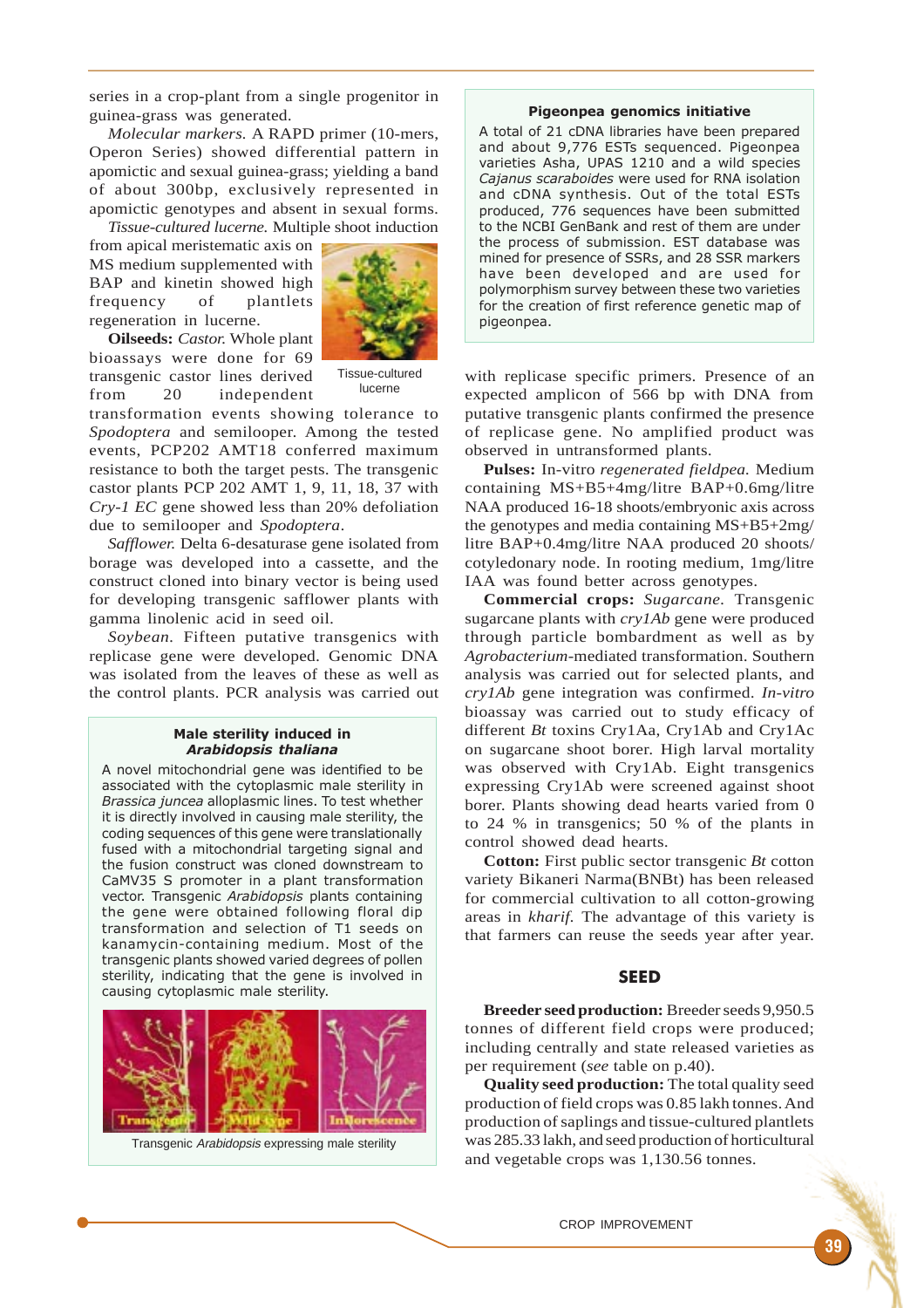series in a crop-plant from a single progenitor in guinea-grass was generated.

*Molecular markers.* A RAPD primer (10-mers, Operon Series) showed differential pattern in apomictic and sexual guinea-grass; yielding a band of about 300bp, exclusively represented in apomictic genotypes and absent in sexual forms. *Tissue-cultured lucerne.* Multiple shoot induction

from apical meristematic axis on MS medium supplemented with BAP and kinetin showed high frequency of plantlets regeneration in lucerne.



**Oilseeds:** *Castor.* Whole plant bioassays were done for 69 transgenic castor lines derived from 20 independent

Tissue-cultured lucerne

transformation events showing tolerance to *Spodoptera* and semilooper. Among the tested events, PCP202 AMT18 conferred maximum resistance to both the target pests. The transgenic castor plants PCP 202 AMT 1, 9, 11, 18, 37 with *Cry-1 EC* gene showed less than 20% defoliation due to semilooper and *Spodoptera*.

*Safflower.* Delta 6-desaturase gene isolated from borage was developed into a cassette, and the construct cloned into binary vector is being used for developing transgenic safflower plants with gamma linolenic acid in seed oil.

*Soybean.* Fifteen putative transgenics with replicase gene were developed. Genomic DNA was isolated from the leaves of these as well as the control plants. PCR analysis was carried out

## Male sterility induced in Arabidopsis thaliana

A novel mitochondrial gene was identified to be associated with the cytoplasmic male sterility in Brassica juncea alloplasmic lines. To test whether it is directly involved in causing male sterility, the coding sequences of this gene were translationally fused with a mitochondrial targeting signal and the fusion construct was cloned downstream to CaMV35 S promoter in a plant transformation vector. Transgenic Arabidopsis plants containing the gene were obtained following floral dip transformation and selection of T1 seeds on kanamycin-containing medium. Most of the transgenic plants showed varied degrees of pollen sterility, indicating that the gene is involved in causing cytoplasmic male sterility.



Transgenic Arabidopsis expressing male sterility

#### Pigeonpea genomics initiative

A total of 21 cDNA libraries have been prepared and about 9,776 ESTs sequenced. Pigeonpea varieties Asha, UPAS 1210 and a wild species Cajanus scaraboides were used for RNA isolation and cDNA synthesis. Out of the total ESTs produced, 776 sequences have been submitted to the NCBI GenBank and rest of them are under the process of submission. EST database was mined for presence of SSRs, and 28 SSR markers have been developed and are used for polymorphism survey between these two varieties for the creation of first reference genetic map of pigeonpea.

with replicase specific primers. Presence of an expected amplicon of 566 bp with DNA from putative transgenic plants confirmed the presence of replicase gene. No amplified product was observed in untransformed plants.

**Pulses:** In-vitro *regenerated fieldpea.* Medium containing MS+B5+4mg/litre BAP+0.6mg/litre NAA produced 16-18 shoots/embryonic axis across the genotypes and media containing MS+B5+2mg/ litre BAP+0.4mg/litre NAA produced 20 shoots/ cotyledonary node. In rooting medium, 1mg/litre IAA was found better across genotypes.

**Commercial crops:** *Sugarcane.* Transgenic sugarcane plants with *cry1Ab* gene were produced through particle bombardment as well as by *Agrobacterium*-mediated transformation. Southern analysis was carried out for selected plants, and *cry1Ab* gene integration was confirmed. *In-vitro* bioassay was carried out to study efficacy of different *Bt* toxins Cry1Aa, Cry1Ab and Cry1Ac on sugarcane shoot borer. High larval mortality was observed with Cry1Ab. Eight transgenics expressing Cry1Ab were screened against shoot borer. Plants showing dead hearts varied from 0 to 24 % in transgenics; 50 % of the plants in control showed dead hearts.

**Cotton:** First public sector transgenic *Bt* cotton variety Bikaneri Narma(BNBt) has been released for commercial cultivation to all cotton-growing areas in *kharif.* The advantage of this variety is that farmers can reuse the seeds year after year.

# SEED

**Breeder seed production:** Breeder seeds 9,950.5 tonnes of different field crops were produced; including centrally and state released varieties as per requirement (*see* table on p.40).

**Quality seed production:** The total quality seed production of field crops was 0.85 lakh tonnes. And production of saplings and tissue-cultured plantlets was 285.33 lakh, and seed production of horticultural and vegetable crops was 1,130.56 tonnes.

CROP IMPROVEMENT